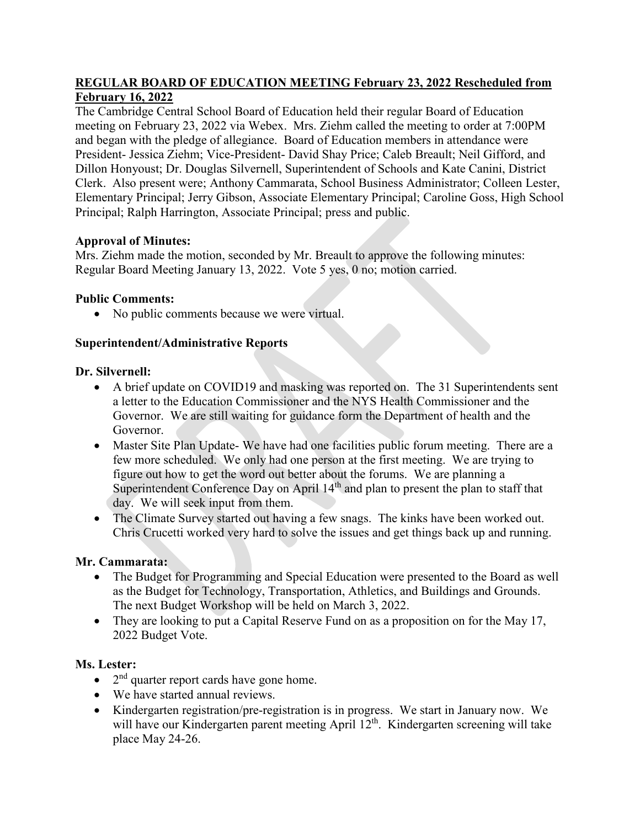## **REGULAR BOARD OF EDUCATION MEETING February 23, 2022 Rescheduled from February 16, 2022**

The Cambridge Central School Board of Education held their regular Board of Education meeting on February 23, 2022 via Webex. Mrs. Ziehm called the meeting to order at 7:00PM and began with the pledge of allegiance. Board of Education members in attendance were President- Jessica Ziehm; Vice-President- David Shay Price; Caleb Breault; Neil Gifford, and Dillon Honyoust; Dr. Douglas Silvernell, Superintendent of Schools and Kate Canini, District Clerk. Also present were; Anthony Cammarata, School Business Administrator; Colleen Lester, Elementary Principal; Jerry Gibson, Associate Elementary Principal; Caroline Goss, High School Principal; Ralph Harrington, Associate Principal; press and public.

# **Approval of Minutes:**

Mrs. Ziehm made the motion, seconded by Mr. Breault to approve the following minutes: Regular Board Meeting January 13, 2022. Vote 5 yes, 0 no; motion carried.

# **Public Comments:**

• No public comments because we were virtual.

# **Superintendent/Administrative Reports**

# **Dr. Silvernell:**

- A brief update on COVID19 and masking was reported on. The 31 Superintendents sent a letter to the Education Commissioner and the NYS Health Commissioner and the Governor. We are still waiting for guidance form the Department of health and the Governor.
- Master Site Plan Update- We have had one facilities public forum meeting. There are a few more scheduled. We only had one person at the first meeting. We are trying to figure out how to get the word out better about the forums. We are planning a Superintendent Conference Day on April 14<sup>th</sup> and plan to present the plan to staff that day. We will seek input from them.
- The Climate Survey started out having a few snags. The kinks have been worked out. Chris Crucetti worked very hard to solve the issues and get things back up and running.

## **Mr. Cammarata:**

- The Budget for Programming and Special Education were presented to the Board as well as the Budget for Technology, Transportation, Athletics, and Buildings and Grounds. The next Budget Workshop will be held on March 3, 2022.
- They are looking to put a Capital Reserve Fund on as a proposition on for the May 17, 2022 Budget Vote.

# **Ms. Lester:**

- $\bullet$  2<sup>nd</sup> quarter report cards have gone home.
- We have started annual reviews.
- Kindergarten registration/pre-registration is in progress. We start in January now. We will have our Kindergarten parent meeting April 12<sup>th</sup>. Kindergarten screening will take place May 24-26.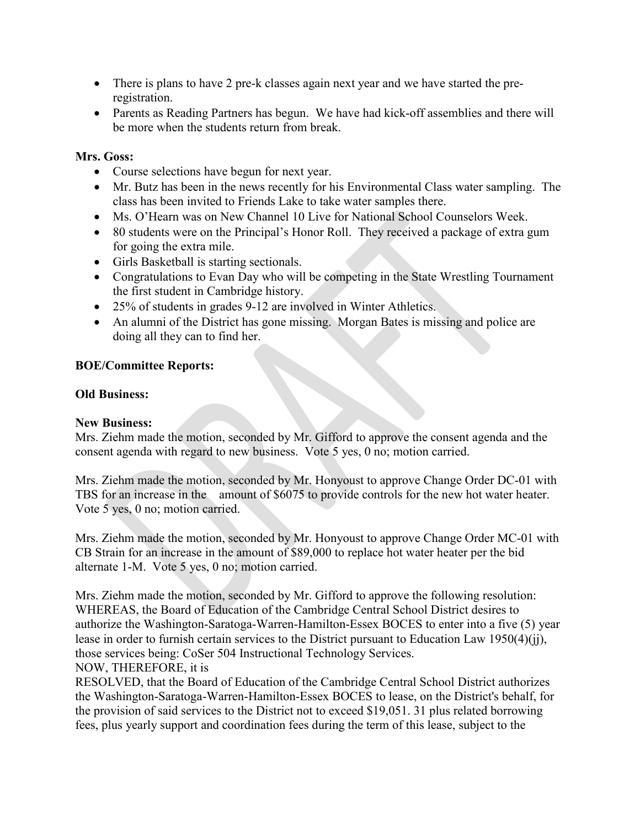- There is plans to have 2 pre-k classes again next year and we have started the preregistration.
- Parents as Reading Partners has begun. We have had kick-off assemblies and there will be more when the students return from break.

### **Mrs. Goss:**

- Course selections have begun for next year.
- Mr. Butz has been in the news recently for his Environmental Class water sampling. The class has been invited to Friends Lake to take water samples there.
- Ms. O'Hearn was on New Channel 10 Live for National School Counselors Week.
- 80 students were on the Principal's Honor Roll. They received a package of extra gum for going the extra mile.
- Girls Basketball is starting sectionals.
- Congratulations to Evan Day who will be competing in the State Wrestling Tournament the first student in Cambridge history.
- 25% of students in grades 9-12 are involved in Winter Athletics.
- An alumni of the District has gone missing. Morgan Bates is missing and police are doing all they can to find her.

#### **BOE/Committee Reports:**

#### **Old Business:**

#### **New Business:**

Mrs. Ziehm made the motion, seconded by Mr. Gifford to approve the consent agenda and the consent agenda with regard to new business. Vote 5 yes, 0 no; motion carried.

Mrs. Ziehm made the motion, seconded by Mr. Honyoust to approve Change Order DC-01 with TBS for an increase in the amount of \$6075 to provide controls for the new hot water heater. Vote 5 yes, 0 no; motion carried.

Mrs. Ziehm made the motion, seconded by Mr. Honyoust to approve Change Order MC-01 with CB Strain for an increase in the amount of \$89,000 to replace hot water heater per the bid alternate 1-M. Vote 5 yes, 0 no; motion carried.

Mrs. Ziehm made the motion, seconded by Mr. Gifford to approve the following resolution: WHEREAS, the Board of Education of the Cambridge Central School District desires to authorize the Washington-Saratoga-Warren-Hamilton-Essex BOCES to enter into a five (5) year lease in order to furnish certain services to the District pursuant to Education Law 1950(4)(jj), those services being: CoSer 504 Instructional Technology Services. NOW, THEREFORE, it is

RESOLVED, that the Board of Education of the Cambridge Central School District authorizes the Washington-Saratoga-Warren-Hamilton-Essex BOCES to lease, on the District's behalf, for the provision of said services to the District not to exceed \$19,051. 31 plus related borrowing fees, plus yearly support and coordination fees during the term of this lease, subject to the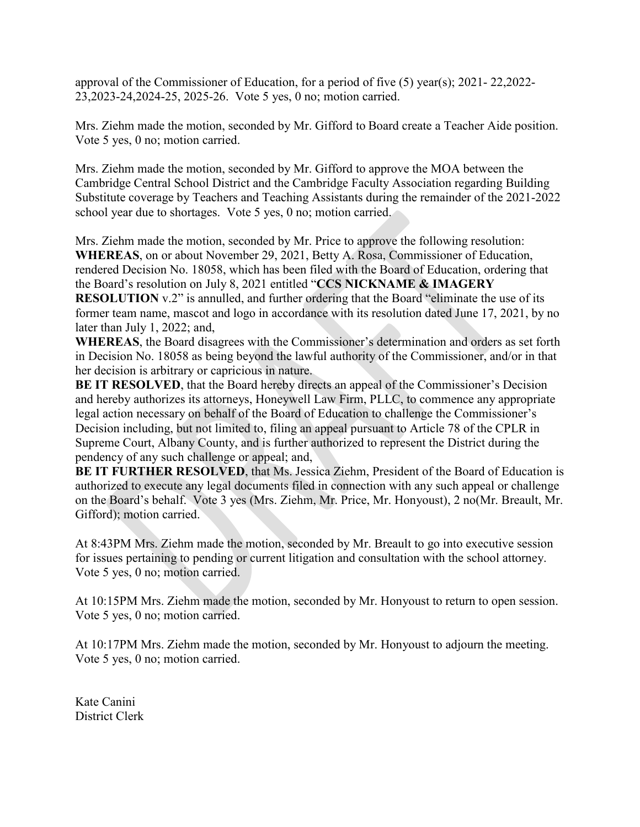approval of the Commissioner of Education, for a period of five (5) year(s); 2021- 22,2022- 23,2023-24,2024-25, 2025-26. Vote 5 yes, 0 no; motion carried.

Mrs. Ziehm made the motion, seconded by Mr. Gifford to Board create a Teacher Aide position. Vote 5 yes, 0 no; motion carried.

Mrs. Ziehm made the motion, seconded by Mr. Gifford to approve the MOA between the Cambridge Central School District and the Cambridge Faculty Association regarding Building Substitute coverage by Teachers and Teaching Assistants during the remainder of the 2021-2022 school year due to shortages. Vote 5 yes, 0 no; motion carried.

Mrs. Ziehm made the motion, seconded by Mr. Price to approve the following resolution: **WHEREAS**, on or about November 29, 2021, Betty A. Rosa, Commissioner of Education, rendered Decision No. 18058, which has been filed with the Board of Education, ordering that the Board's resolution on July 8, 2021 entitled "**CCS NICKNAME & IMAGERY RESOLUTION** v.2" is annulled, and further ordering that the Board "eliminate the use of its former team name, mascot and logo in accordance with its resolution dated June 17, 2021, by no later than July 1, 2022; and,

**WHEREAS**, the Board disagrees with the Commissioner's determination and orders as set forth in Decision No. 18058 as being beyond the lawful authority of the Commissioner, and/or in that her decision is arbitrary or capricious in nature.

**BE IT RESOLVED**, that the Board hereby directs an appeal of the Commissioner's Decision and hereby authorizes its attorneys, Honeywell Law Firm, PLLC, to commence any appropriate legal action necessary on behalf of the Board of Education to challenge the Commissioner's Decision including, but not limited to, filing an appeal pursuant to Article 78 of the CPLR in Supreme Court, Albany County, and is further authorized to represent the District during the pendency of any such challenge or appeal; and,

**BE IT FURTHER RESOLVED**, that Ms. Jessica Ziehm, President of the Board of Education is authorized to execute any legal documents filed in connection with any such appeal or challenge on the Board's behalf. Vote 3 yes (Mrs. Ziehm, Mr. Price, Mr. Honyoust), 2 no(Mr. Breault, Mr. Gifford); motion carried.

At 8:43PM Mrs. Ziehm made the motion, seconded by Mr. Breault to go into executive session for issues pertaining to pending or current litigation and consultation with the school attorney. Vote 5 yes, 0 no; motion carried.

At 10:15PM Mrs. Ziehm made the motion, seconded by Mr. Honyoust to return to open session. Vote 5 yes, 0 no; motion carried.

At 10:17PM Mrs. Ziehm made the motion, seconded by Mr. Honyoust to adjourn the meeting. Vote 5 yes, 0 no; motion carried.

Kate Canini District Clerk